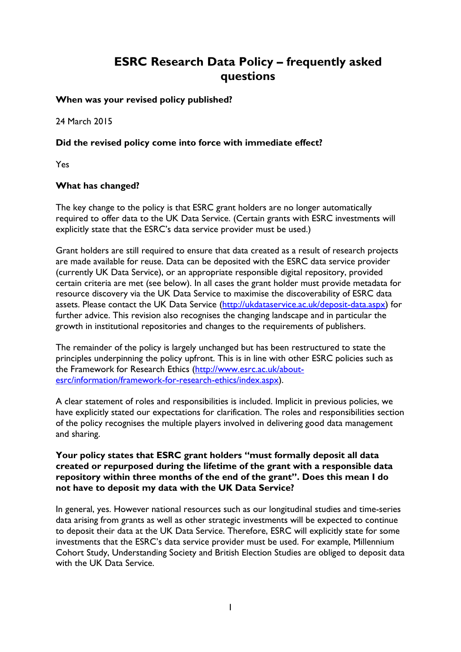# **ESRC Research Data Policy – frequently asked questions**

### **When was your revised policy published?**

24 March 2015

# **Did the revised policy come into force with immediate effect?**

Yes

## **What has changed?**

The key change to the policy is that ESRC grant holders are no longer automatically required to offer data to the UK Data Service. (Certain grants with ESRC investments will explicitly state that the ESRC's data service provider must be used.)

Grant holders are still required to ensure that data created as a result of research projects are made available for reuse. Data can be deposited with the ESRC data service provider (currently UK Data Service), or an appropriate responsible digital repository, provided certain criteria are met (see below). In all cases the grant holder must provide metadata for resource discovery via the UK Data Service to maximise the discoverability of ESRC data assets. Please contact the UK Data Service [\(http://ukdataservice.ac.uk/deposit-data.aspx\)](http://ukdataservice.ac.uk/deposit-data.aspx) for further advice. This revision also recognises the changing landscape and in particular the growth in institutional repositories and changes to the requirements of publishers.

The remainder of the policy is largely unchanged but has been restructured to state the principles underpinning the policy upfront. This is in line with other ESRC policies such as the Framework for Research Ethics [\(http://www.esrc.ac.uk/about](http://www.esrc.ac.uk/about-esrc/information/framework-for-research-ethics/index.aspx)[esrc/information/framework-for-research-ethics/index.aspx\)](http://www.esrc.ac.uk/about-esrc/information/framework-for-research-ethics/index.aspx).

A clear statement of roles and responsibilities is included. Implicit in previous policies, we have explicitly stated our expectations for clarification. The roles and responsibilities section of the policy recognises the multiple players involved in delivering good data management and sharing.

#### **Your policy states that ESRC grant holders "must formally deposit all data created or repurposed during the lifetime of the grant with a responsible data repository within three months of the end of the grant". Does this mean I do not have to deposit my data with the UK Data Service?**

In general, yes. However national resources such as our longitudinal studies and time-series data arising from grants as well as other strategic investments will be expected to continue to deposit their data at the UK Data Service. Therefore, ESRC will explicitly state for some investments that the ESRC's data service provider must be used. For example, Millennium Cohort Study, Understanding Society and British Election Studies are obliged to deposit data with the UK Data Service.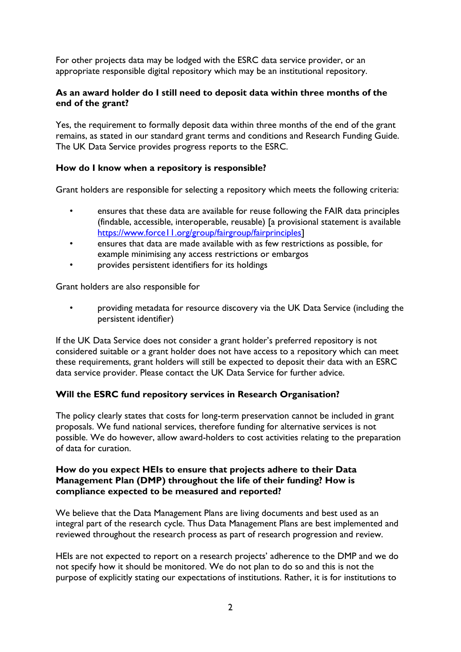For other projects data may be lodged with the ESRC data service provider, or an appropriate responsible digital repository which may be an institutional repository.

#### **As an award holder do I still need to deposit data within three months of the end of the grant?**

Yes, the requirement to formally deposit data within three months of the end of the grant remains, as stated in our standard grant terms and conditions and Research Funding Guide. The UK Data Service provides progress reports to the ESRC.

#### **How do I know when a repository is responsible?**

Grant holders are responsible for selecting a repository which meets the following criteria:

- ensures that these data are available for reuse following the FAIR data principles (findable, accessible, interoperable, reusable) [a provisional statement is available [https://www.force11.org/group/fairgroup/fairprinciples\]](https://www.force11.org/group/fairgroup/fairprinciples)
- ensures that data are made available with as few restrictions as possible, for example minimising any access restrictions or embargos
- provides persistent identifiers for its holdings

Grant holders are also responsible for

• providing metadata for resource discovery via the UK Data Service (including the persistent identifier)

If the UK Data Service does not consider a grant holder's preferred repository is not considered suitable or a grant holder does not have access to a repository which can meet these requirements, grant holders will still be expected to deposit their data with an ESRC data service provider. Please contact the UK Data Service for further advice.

#### **Will the ESRC fund repository services in Research Organisation?**

The policy clearly states that costs for long-term preservation cannot be included in grant proposals. We fund national services, therefore funding for alternative services is not possible. We do however, allow award-holders to cost activities relating to the preparation of data for curation.

#### **How do you expect HEIs to ensure that projects adhere to their Data Management Plan (DMP) throughout the life of their funding? How is compliance expected to be measured and reported?**

We believe that the Data Management Plans are living documents and best used as an integral part of the research cycle. Thus Data Management Plans are best implemented and reviewed throughout the research process as part of research progression and review.

HEIs are not expected to report on a research projects' adherence to the DMP and we do not specify how it should be monitored. We do not plan to do so and this is not the purpose of explicitly stating our expectations of institutions. Rather, it is for institutions to